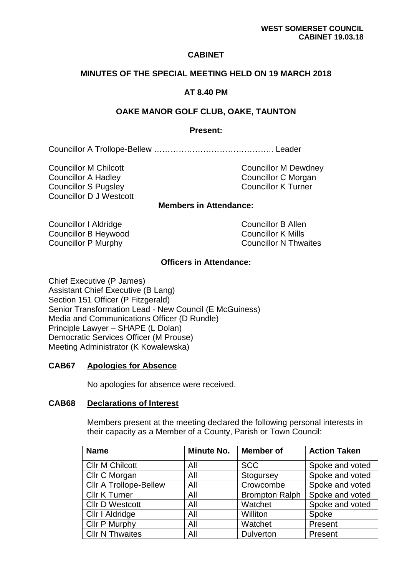# **CABINET**

## **MINUTES OF THE SPECIAL MEETING HELD ON 19 MARCH 2018**

# **AT 8.40 PM**

### **OAKE MANOR GOLF CLUB, OAKE, TAUNTON**

## **Present:**

Councillor A Trollope-Bellew …………………………………….. Leader

Councillor M Chilcott Councillor M Dewdney Councillor A Hadley Councillor C Morgan Councillor S Pugsley Councillor K Turner Councillor D J Westcott

# **Members in Attendance:**

Councillor I Aldridge Councillor B Allen Councillor B Heywood Councillor K Mills Councillor P Murphy Councillor N Thwaites

## **Officers in Attendance:**

Chief Executive (P James) Assistant Chief Executive (B Lang) Section 151 Officer (P Fitzgerald) Senior Transformation Lead - New Council (E McGuiness) Media and Communications Officer (D Rundle) Principle Lawyer – SHAPE (L Dolan) Democratic Services Officer (M Prouse) Meeting Administrator (K Kowalewska)

#### **CAB67 Apologies for Absence**

No apologies for absence were received.

#### **CAB68 Declarations of Interest**

 Members present at the meeting declared the following personal interests in their capacity as a Member of a County, Parish or Town Council:

| <b>Name</b>                   | <b>Minute No.</b> | <b>Member of</b>      | <b>Action Taken</b> |
|-------------------------------|-------------------|-----------------------|---------------------|
| <b>Cllr M Chilcott</b>        | All               | <b>SCC</b>            | Spoke and voted     |
| Cllr C Morgan                 | All               | Stogursey             | Spoke and voted     |
| <b>Cllr A Trollope-Bellew</b> | All               | Crowcombe             | Spoke and voted     |
| <b>Cllr K Turner</b>          | All               | <b>Brompton Ralph</b> | Spoke and voted     |
| <b>Cllr D Westcott</b>        | All               | Watchet               | Spoke and voted     |
| Cllr I Aldridge               | All               | Williton              | Spoke               |
| Cllr P Murphy                 | All               | Watchet               | Present             |
| <b>Cllr N Thwaites</b>        | All               | <b>Dulverton</b>      | Present             |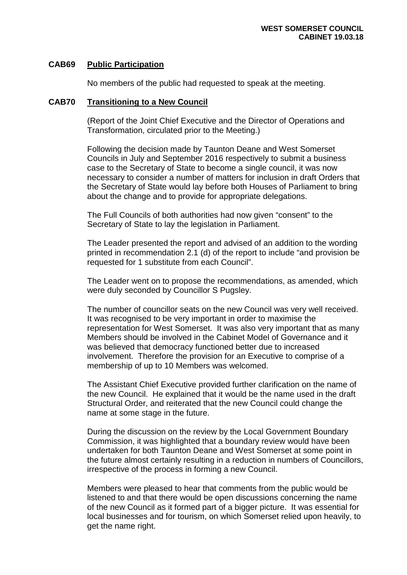#### **CAB69 Public Participation**

No members of the public had requested to speak at the meeting.

#### **CAB70 Transitioning to a New Council**

 (Report of the Joint Chief Executive and the Director of Operations and Transformation, circulated prior to the Meeting.)

 Following the decision made by Taunton Deane and West Somerset Councils in July and September 2016 respectively to submit a business case to the Secretary of State to become a single council, it was now necessary to consider a number of matters for inclusion in draft Orders that the Secretary of State would lay before both Houses of Parliament to bring about the change and to provide for appropriate delegations.

 The Full Councils of both authorities had now given "consent" to the Secretary of State to lay the legislation in Parliament.

 The Leader presented the report and advised of an addition to the wording printed in recommendation 2.1 (d) of the report to include "and provision be requested for 1 substitute from each Council".

 The Leader went on to propose the recommendations, as amended, which were duly seconded by Councillor S Pugsley.

 The number of councillor seats on the new Council was very well received. It was recognised to be very important in order to maximise the representation for West Somerset. It was also very important that as many Members should be involved in the Cabinet Model of Governance and it was believed that democracy functioned better due to increased involvement. Therefore the provision for an Executive to comprise of a membership of up to 10 Members was welcomed.

 The Assistant Chief Executive provided further clarification on the name of the new Council. He explained that it would be the name used in the draft Structural Order, and reiterated that the new Council could change the name at some stage in the future.

 During the discussion on the review by the Local Government Boundary Commission, it was highlighted that a boundary review would have been undertaken for both Taunton Deane and West Somerset at some point in the future almost certainly resulting in a reduction in numbers of Councillors, irrespective of the process in forming a new Council.

 Members were pleased to hear that comments from the public would be listened to and that there would be open discussions concerning the name of the new Council as it formed part of a bigger picture. It was essential for local businesses and for tourism, on which Somerset relied upon heavily, to get the name right.